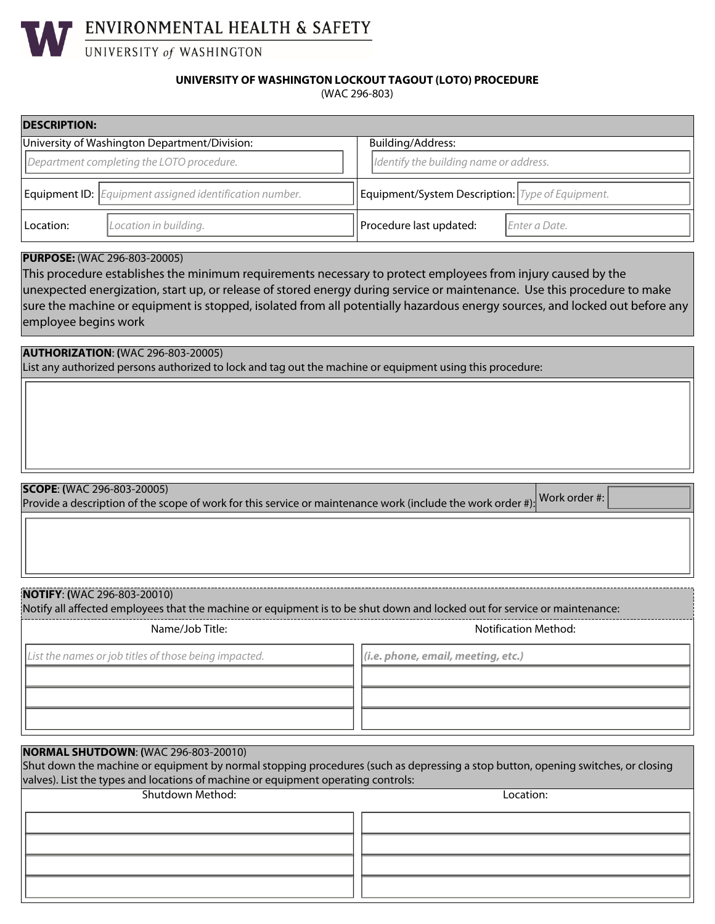

#### (WAC 296-803) **UNIVERSITY OF WASHINGTON LOCKOUT TAGOUT (LOTO) PROCEDURE**

| <b>DESCRIPTION:</b>                       |                                                                       |                                                  |  |  |  |
|-------------------------------------------|-----------------------------------------------------------------------|--------------------------------------------------|--|--|--|
|                                           | University of Washington Department/Division:                         | Building/Address:                                |  |  |  |
| Department completing the LOTO procedure. |                                                                       | Identify the building name or address.           |  |  |  |
|                                           | <b>Equipment ID:</b> <i>Equipment assigned identification number.</i> | Equipment/System Description: Type of Equipment. |  |  |  |
| Location:                                 | Location in building.                                                 | Procedure last updated:<br>Enter a Date.         |  |  |  |

## **PURPOSE:** (WAC 296-803-20005)

This procedure establishes the minimum requirements necessary to protect employees from injury caused by the unexpected energization, start up, or release of stored energy during service or maintenance. Use this procedure to make sure the machine or equipment is stopped, isolated from all potentially hazardous energy sources, and locked out before any employee begins work

**AUTHORIZATION**: **(**WAC 296-803-20005) List any authorized persons authorized to lock and tag out the machine or equipment using this procedure:

## **SCOPE**: **(**WAC 296-803-20005)

Provide a description of the scope of work for this service or maintenance work (include the work order #): Work order #:

### **NOTIFY**: **(**WAC 296-803-20010)

Notify all affected employees that the machine or equipment is to be shut down and locked out for service or maintenance: Name/Job Title: Notification Method: Notification Method:

*List the names or job titles of those being impacted. (i.e. phone, email, meeting, etc.)*

| <b>NORMAL SHUTDOWN: (WAC 296-803-20010)</b>                                                                                      |           |  |  |  |  |
|----------------------------------------------------------------------------------------------------------------------------------|-----------|--|--|--|--|
| Shut down the machine or equipment by normal stopping procedures (such as depressing a stop button, opening switches, or closing |           |  |  |  |  |
| valves). List the types and locations of machine or equipment operating controls:                                                |           |  |  |  |  |
|                                                                                                                                  |           |  |  |  |  |
| Shutdown Method:                                                                                                                 | Location: |  |  |  |  |
|                                                                                                                                  |           |  |  |  |  |
|                                                                                                                                  |           |  |  |  |  |
|                                                                                                                                  |           |  |  |  |  |
|                                                                                                                                  |           |  |  |  |  |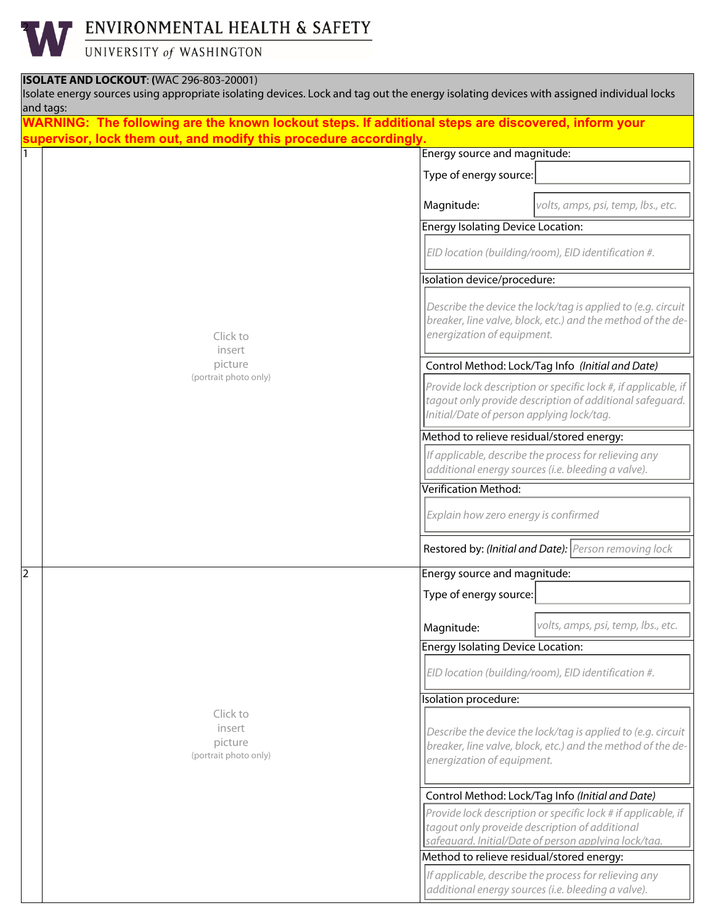## ENVIRONMENTAL HEALTH & SAFETY

UNIVERSITY of WASHINGTON

## **ISOLATE AND LOCKOUT**: **(**WAC 296-803-20001)

2

| and tags:<br>WARNING: The following are the known lockout steps. If additional steps are discovered, inform your |                                                                                                                                                                         |  |
|------------------------------------------------------------------------------------------------------------------|-------------------------------------------------------------------------------------------------------------------------------------------------------------------------|--|
| supervisor, lock them out, and modify this procedure accordingly.                                                |                                                                                                                                                                         |  |
|                                                                                                                  | Energy source and magnitude:                                                                                                                                            |  |
|                                                                                                                  | Type of energy source:                                                                                                                                                  |  |
|                                                                                                                  | Magnitude:<br>volts, amps, psi, temp, lbs., etc.                                                                                                                        |  |
|                                                                                                                  | <b>Energy Isolating Device Location:</b>                                                                                                                                |  |
|                                                                                                                  | EID location (building/room), EID identification #.                                                                                                                     |  |
|                                                                                                                  | Isolation device/procedure:                                                                                                                                             |  |
| Click to<br>insert                                                                                               | Describe the device the lock/tag is applied to (e.g. circuit<br>breaker, line valve, block, etc.) and the method of the de-<br>energization of equipment.               |  |
| picture                                                                                                          | Control Method: Lock/Tag Info (Initial and Date)                                                                                                                        |  |
| (portrait photo only)                                                                                            | Provide lock description or specific lock #, if applicable, if<br>tagout only provide description of additional safequard.<br>Initial/Date of person applying lock/tag. |  |
|                                                                                                                  | Method to relieve residual/stored energy:                                                                                                                               |  |
|                                                                                                                  | If applicable, describe the process for relieving any<br>additional energy sources (i.e. bleeding a valve).                                                             |  |
|                                                                                                                  | Verification Method:                                                                                                                                                    |  |
|                                                                                                                  | Explain how zero energy is confirmed                                                                                                                                    |  |
|                                                                                                                  | Restored by: (Initial and Date): Person removing lock                                                                                                                   |  |
|                                                                                                                  | Energy source and magnitude:                                                                                                                                            |  |
|                                                                                                                  | Type of energy source:                                                                                                                                                  |  |
|                                                                                                                  | volts, amps, psi, temp, lbs., etc.<br>Magnitude:                                                                                                                        |  |
|                                                                                                                  | <b>Energy Isolating Device Location:</b>                                                                                                                                |  |
|                                                                                                                  | EID location (building/room), EID identification #.                                                                                                                     |  |
|                                                                                                                  | Isolation procedure:                                                                                                                                                    |  |
| Click to<br>insert<br>picture<br>(portrait photo only)                                                           | Describe the device the lock/tag is applied to (e.g. circuit<br>breaker, line valve, block, etc.) and the method of the de-<br>energization of equipment.               |  |
|                                                                                                                  | Control Method: Lock/Tag Info (Initial and Date)                                                                                                                        |  |
|                                                                                                                  | Provide lock description or specific lock # if applicable, if<br>tagout only proveide description of additional<br>safeauard. Initial/Date of person applyina lock/taa. |  |
|                                                                                                                  | Method to relieve residual/stored energy:                                                                                                                               |  |
|                                                                                                                  | If applicable, describe the process for relieving any<br>additional energy sources (i.e. bleeding a valve).                                                             |  |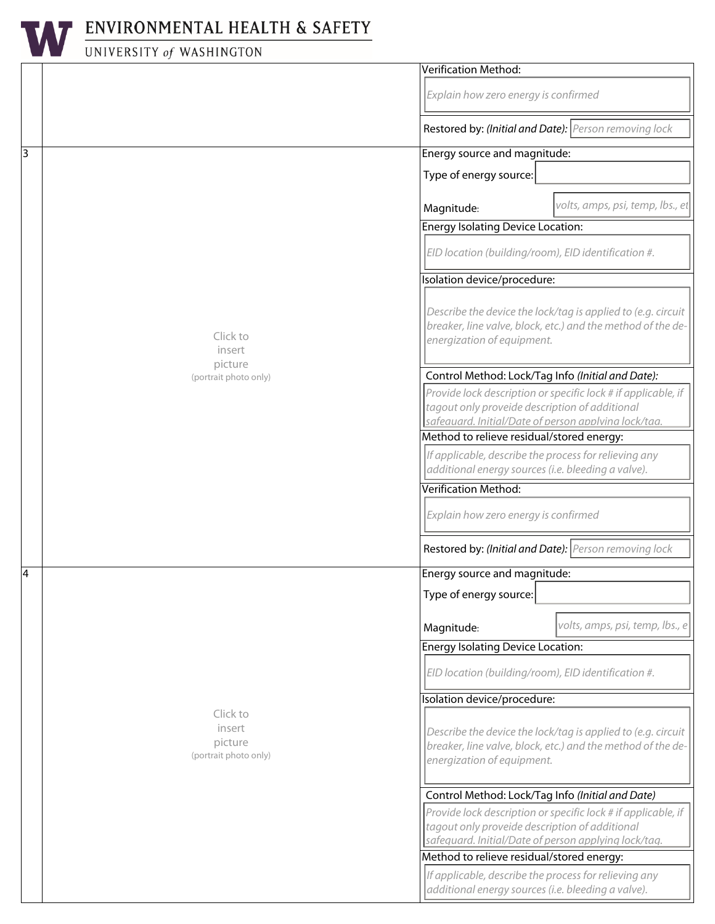

# ENVIRONMENTAL HEALTH & SAFETY

# UNIVERSITY of WASHINGTON

|   |                                  | Verification Method:                                                                                                                                      |  |  |
|---|----------------------------------|-----------------------------------------------------------------------------------------------------------------------------------------------------------|--|--|
|   |                                  | Explain how zero energy is confirmed                                                                                                                      |  |  |
|   |                                  | Restored by: (Initial and Date): Person removing lock                                                                                                     |  |  |
| 3 |                                  | Energy source and magnitude:                                                                                                                              |  |  |
|   |                                  | $\blacktriangledown$<br>Type of energy source:                                                                                                            |  |  |
|   |                                  |                                                                                                                                                           |  |  |
|   |                                  | volts, amps, psi, temp, lbs., et<br>Magnitude:                                                                                                            |  |  |
|   |                                  | <b>Energy Isolating Device Location:</b>                                                                                                                  |  |  |
|   |                                  | EID location (building/room), EID identification #.                                                                                                       |  |  |
|   | Click to<br>insert               | Isolation device/procedure:                                                                                                                               |  |  |
|   |                                  | Describe the device the lock/tag is applied to (e.g. circuit<br>breaker, line valve, block, etc.) and the method of the de-<br>energization of equipment. |  |  |
|   | picture<br>(portrait photo only) | Control Method: Lock/Tag Info (Initial and Date):                                                                                                         |  |  |
|   |                                  | Provide lock description or specific lock # if applicable, if                                                                                             |  |  |
|   |                                  | tagout only proveide description of additional<br>safeauard. Initial/Date of person applyina lock/taa.                                                    |  |  |
|   |                                  | Method to relieve residual/stored energy:                                                                                                                 |  |  |
|   |                                  | If applicable, describe the process for relieving any                                                                                                     |  |  |
|   |                                  | additional energy sources (i.e. bleeding a valve).                                                                                                        |  |  |
|   |                                  | Verification Method:                                                                                                                                      |  |  |
|   |                                  | Explain how zero energy is confirmed                                                                                                                      |  |  |
|   |                                  | Restored by: (Initial and Date): Person removing lock                                                                                                     |  |  |
| 4 |                                  | Energy source and magnitude:                                                                                                                              |  |  |
|   |                                  | $\vert \mathbf{v} \vert$<br>Type of energy source:                                                                                                        |  |  |
|   |                                  | volts, amps, psi, temp, lbs., e<br>Magnitude:                                                                                                             |  |  |
|   |                                  | <b>Energy Isolating Device Location:</b>                                                                                                                  |  |  |
|   |                                  | EID location (building/room), EID identification #.                                                                                                       |  |  |
|   |                                  | Isolation device/procedure:                                                                                                                               |  |  |
|   | Click to                         |                                                                                                                                                           |  |  |
|   | insert<br>picture                | Describe the device the lock/tag is applied to (e.g. circuit<br>breaker, line valve, block, etc.) and the method of the de-                               |  |  |
|   | (portrait photo only)            | energization of equipment.                                                                                                                                |  |  |
|   |                                  |                                                                                                                                                           |  |  |
|   |                                  | Control Method: Lock/Tag Info (Initial and Date)                                                                                                          |  |  |
|   |                                  | Provide lock description or specific lock # if applicable, if                                                                                             |  |  |
|   |                                  | tagout only proveide description of additional                                                                                                            |  |  |
|   |                                  | safequard. Initial/Date of person applying lock/tag.                                                                                                      |  |  |
|   |                                  | Method to relieve residual/stored energy:                                                                                                                 |  |  |
|   |                                  | If applicable, describe the process for relieving any                                                                                                     |  |  |
|   |                                  | additional energy sources (i.e. bleeding a valve).                                                                                                        |  |  |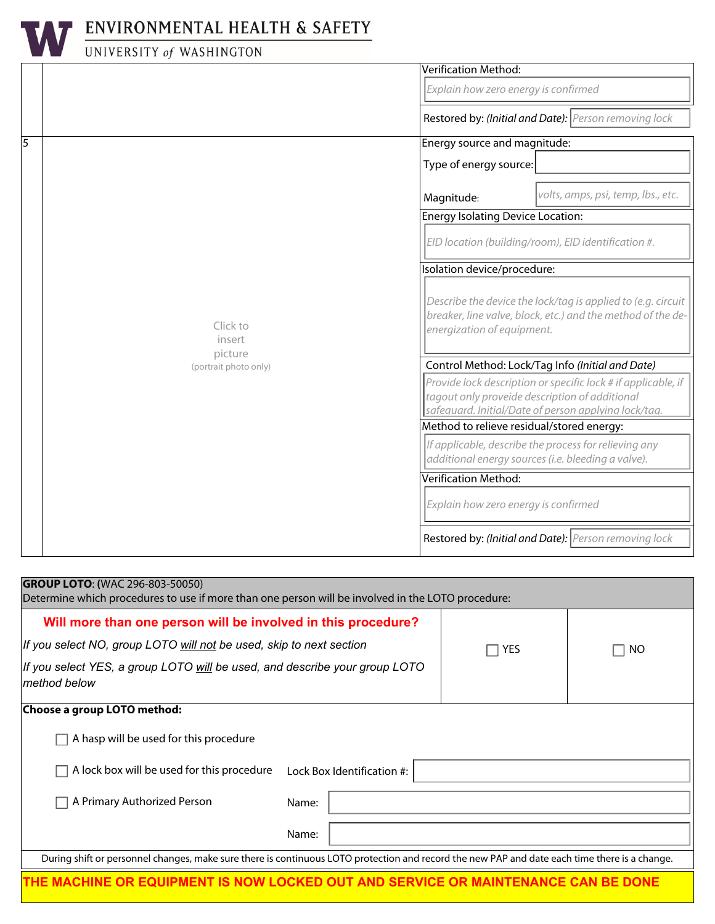

## ENVIRONMENTAL HEALTH & SAFETY

# UNIVERSITY of WASHINGTON

|   |                                  | Verification Method:                                                                                                                                                    |                                                                                                                                                           |  |
|---|----------------------------------|-------------------------------------------------------------------------------------------------------------------------------------------------------------------------|-----------------------------------------------------------------------------------------------------------------------------------------------------------|--|
|   |                                  | Explain how zero energy is confirmed                                                                                                                                    |                                                                                                                                                           |  |
|   |                                  | Restored by: (Initial and Date): Person removing lock                                                                                                                   |                                                                                                                                                           |  |
| 5 |                                  | Energy source and magnitude:                                                                                                                                            |                                                                                                                                                           |  |
|   |                                  | Type of energy source:                                                                                                                                                  | $\left  \mathbf{v} \right $                                                                                                                               |  |
|   |                                  | Magnitude:                                                                                                                                                              | volts, amps, psi, temp, lbs., etc.                                                                                                                        |  |
|   |                                  | <b>Energy Isolating Device Location:</b>                                                                                                                                |                                                                                                                                                           |  |
|   |                                  | EID location (building/room), EID identification #.                                                                                                                     |                                                                                                                                                           |  |
|   |                                  | solation device/procedure:                                                                                                                                              |                                                                                                                                                           |  |
|   | Click to<br>insert               |                                                                                                                                                                         | Describe the device the lock/tag is applied to (e.g. circuit<br>breaker, line valve, block, etc.) and the method of the de-<br>energization of equipment. |  |
|   | picture<br>(portrait photo only) | Control Method: Lock/Tag Info (Initial and Date)                                                                                                                        |                                                                                                                                                           |  |
|   |                                  | Provide lock description or specific lock # if applicable, if<br>tagout only proveide description of additional<br>safeauard. Initial/Date of person applyina lock/taa. |                                                                                                                                                           |  |
|   |                                  | Method to relieve residual/stored energy:                                                                                                                               |                                                                                                                                                           |  |
|   |                                  | If applicable, describe the process for relieving any<br>additional energy sources (i.e. bleeding a valve).                                                             |                                                                                                                                                           |  |
|   |                                  | Verification Method:                                                                                                                                                    |                                                                                                                                                           |  |
|   |                                  | Explain how zero energy is confirmed                                                                                                                                    |                                                                                                                                                           |  |
|   |                                  |                                                                                                                                                                         | Restored by: (Initial and Date): Person removing lock                                                                                                     |  |

| <b>GROUP LOTO: (WAC 296-803-50050)</b><br>Determine which procedures to use if more than one person will be involved in the LOTO procedure:   |       |  |     |     |  |
|-----------------------------------------------------------------------------------------------------------------------------------------------|-------|--|-----|-----|--|
| Will more than one person will be involved in this procedure?                                                                                 |       |  |     |     |  |
| If you select NO, group LOTO will not be used, skip to next section                                                                           |       |  | YES | NO. |  |
| If you select YES, a group LOTO will be used, and describe your group LOTO<br>method below                                                    |       |  |     |     |  |
| Choose a group LOTO method:                                                                                                                   |       |  |     |     |  |
| A hasp will be used for this procedure                                                                                                        |       |  |     |     |  |
| A lock box will be used for this procedure<br>Lock Box Identification #:                                                                      |       |  |     |     |  |
| A Primary Authorized Person                                                                                                                   | Name: |  |     |     |  |
|                                                                                                                                               | Name: |  |     |     |  |
| During shift or personnel changes, make sure there is continuous LOTO protection and record the new PAP and date each time there is a change. |       |  |     |     |  |

**THE MACHINE OR EQUIPMENT IS NOW LOCKED OUT AND SERVICE OR MAINTENANCE CAN BE DONE**